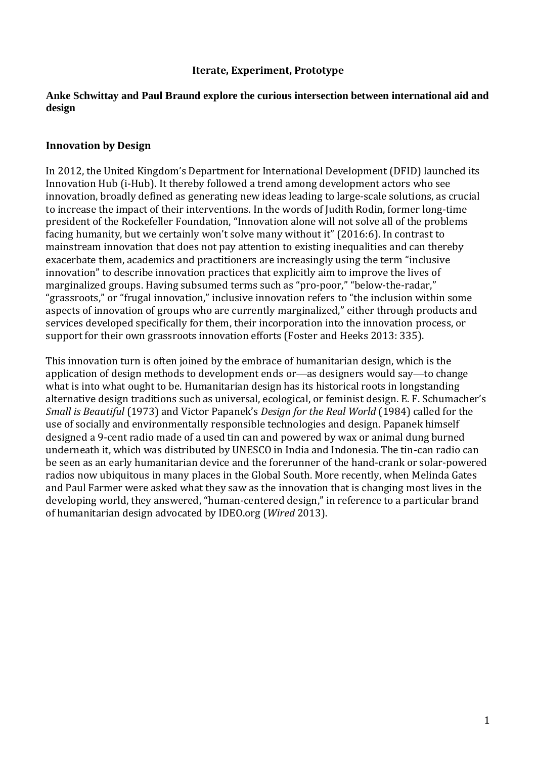### **Iterate, Experiment, Prototype**

### **Anke Schwittay and Paul Braund explore the curious intersection between international aid and design**

### **Innovation by Design**

In 2012, the United Kingdom's Department for International Development (DFID) launched its Innovation Hub (i-Hub). It thereby followed a trend among development actors who see innovation, broadly defined as generating new ideas leading to large-scale solutions, as crucial to increase the impact of their interventions. In the words of Judith Rodin, former long-time president of the Rockefeller Foundation, "Innovation alone will not solve all of the problems facing humanity, but we certainly won't solve many without it" (2016:6). In contrast to mainstream innovation that does not pay attention to existing inequalities and can thereby exacerbate them, academics and practitioners are increasingly using the term "inclusive innovation" to describe innovation practices that explicitly aim to improve the lives of marginalized groups. Having subsumed terms such as "pro-poor," "below-the-radar," "grassroots," or "frugal innovation," inclusive innovation refers to "the inclusion within some aspects of innovation of groups who are currently marginalized," either through products and services developed specifically for them, their incorporation into the innovation process, or support for their own grassroots innovation efforts (Foster and Heeks 2013: 335).

This innovation turn is often joined by the embrace of humanitarian design, which is the application of design methods to development ends or—as designers would say—to change what is into what ought to be. Humanitarian design has its historical roots in longstanding alternative design traditions such as universal, ecological, or feminist design. E. F. Schumacher's *Small is Beautiful* (1973) and Victor Papanek's *Design for the Real World* (1984) called for the use of socially and environmentally responsible technologies and design. Papanek himself designed a 9-cent radio made of a used tin can and powered by wax or animal dung burned underneath it, which was distributed by UNESCO in India and Indonesia. The tin-can radio can be seen as an early humanitarian device and the forerunner of the hand-crank or solar-powered radios now ubiquitous in many places in the Global South. More recently, when Melinda Gates and Paul Farmer were asked what they saw as the innovation that is changing most lives in the developing world, they answered, "human-centered design," in reference to a particular brand of humanitarian design advocated by IDEO.org (*Wired* 2013).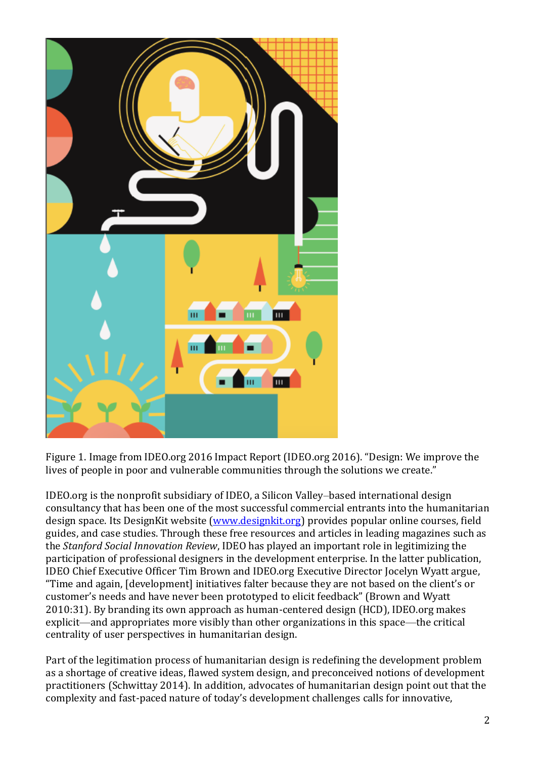

Figure 1. Image from IDEO.org 2016 Impact Report (IDEO.org 2016). "Design: We improve the lives of people in poor and vulnerable communities through the solutions we create."

IDEO.org is the nonprofit subsidiary of IDEO, a Silicon Valley–based international design consultancy that has been one of the most successful commercial entrants into the humanitarian design space. Its DesignKit website [\(www.designkit.org\)](http://www.designkit.org/) provides popular online courses, field guides, and case studies. Through these free resources and articles in leading magazines such as the *Stanford Social Innovation Review*, IDEO has played an important role in legitimizing the participation of professional designers in the development enterprise. In the latter publication, IDEO Chief Executive Officer Tim Brown and IDEO.org Executive Director Jocelyn Wyatt argue, "Time and again, [development] initiatives falter because they are not based on the client's or customer's needs and have never been prototyped to elicit feedback" (Brown and Wyatt 2010:31). By branding its own approach as human-centered design (HCD), IDEO.org makes explicit—and appropriates more visibly than other organizations in this space—the critical centrality of user perspectives in humanitarian design.

Part of the legitimation process of humanitarian design is redefining the development problem as a shortage of creative ideas, flawed system design, and preconceived notions of development practitioners (Schwittay 2014). In addition, advocates of humanitarian design point out that the complexity and fast-paced nature of today's development challenges calls for innovative,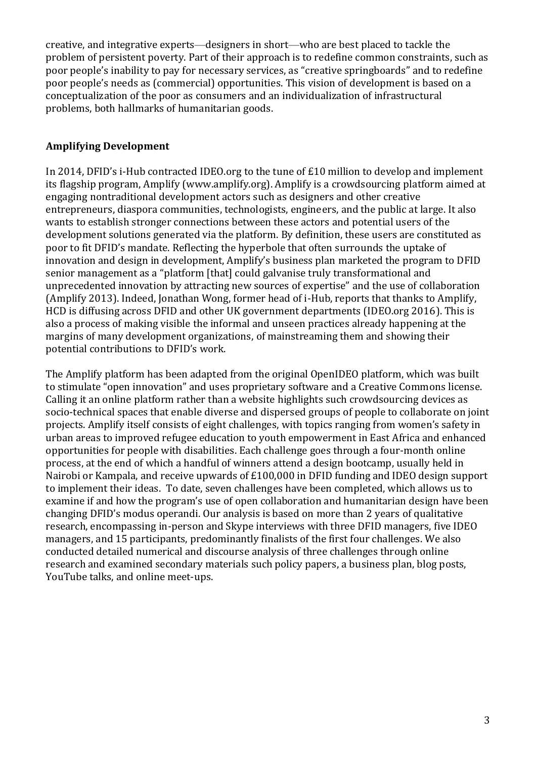creative, and integrative experts—designers in short—who are best placed to tackle the problem of persistent poverty. Part of their approach is to redefine common constraints, such as poor people's inability to pay for necessary services, as "creative springboards" and to redefine poor people's needs as (commercial) opportunities. This vision of development is based on a conceptualization of the poor as consumers and an individualization of infrastructural problems, both hallmarks of humanitarian goods.

# **Amplifying Development**

In 2014, DFID's i-Hub contracted IDEO.org to the tune of £10 million to develop and implement its flagship program, Amplify (www.amplify.org). Amplify is a crowdsourcing platform aimed at engaging nontraditional development actors such as designers and other creative entrepreneurs, diaspora communities, technologists, engineers, and the public at large. It also wants to establish stronger connections between these actors and potential users of the development solutions generated via the platform. By definition, these users are constituted as poor to fit DFID's mandate. Reflecting the hyperbole that often surrounds the uptake of innovation and design in development, Amplify's business plan marketed the program to DFID senior management as a "platform [that] could galvanise truly transformational and unprecedented innovation by attracting new sources of expertise" and the use of collaboration (Amplify 2013). Indeed, Jonathan Wong, former head of i-Hub, reports that thanks to Amplify, HCD is diffusing across DFID and other UK government departments (IDEO.org 2016). This is also a process of making visible the informal and unseen practices already happening at the margins of many development organizations, of mainstreaming them and showing their potential contributions to DFID's work.

The Amplify platform has been adapted from the original OpenIDEO platform, which was built to stimulate "open innovation" and uses proprietary software and a Creative Commons license. Calling it an online platform rather than a website highlights such crowdsourcing devices as socio-technical spaces that enable diverse and dispersed groups of people to collaborate on joint projects. Amplify itself consists of eight challenges, with topics ranging from women's safety in urban areas to improved refugee education to youth empowerment in East Africa and enhanced opportunities for people with disabilities. Each challenge goes through a four-month online process, at the end of which a handful of winners attend a design bootcamp, usually held in Nairobi or Kampala, and receive upwards of £100,000 in DFID funding and IDEO design support to implement their ideas. To date, seven challenges have been completed, which allows us to examine if and how the program's use of open collaboration and humanitarian design have been changing DFID's modus operandi. Our analysis is based on more than 2 years of qualitative research, encompassing in-person and Skype interviews with three DFID managers, five IDEO managers, and 15 participants, predominantly finalists of the first four challenges. We also conducted detailed numerical and discourse analysis of three challenges through online research and examined secondary materials such policy papers, a business plan, blog posts, YouTube talks, and online meet-ups.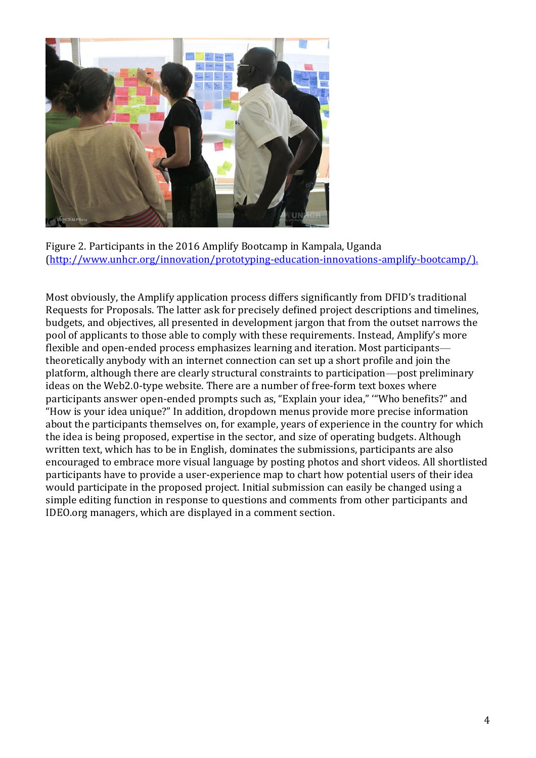

Figure 2. Participants in the 2016 Amplify Bootcamp in Kampala, Uganda [\(http://www.unhcr.org/innovation/prototyping-education-innovations-amplify-bootcamp/\)](http://www.unhcr.org/innovation/prototyping-education-innovations-amplify-bootcamp/).

Most obviously, the Amplify application process differs significantly from DFID's traditional Requests for Proposals. The latter ask for precisely defined project descriptions and timelines, budgets, and objectives, all presented in development jargon that from the outset narrows the pool of applicants to those able to comply with these requirements. Instead, Amplify's more flexible and open-ended process emphasizes learning and iteration. Most participants theoretically anybody with an internet connection can set up a short profile and join the platform, although there are clearly structural constraints to participation—post preliminary ideas on the Web2.0-type website. There are a number of free-form text boxes where participants answer open-ended prompts such as, "Explain your idea," '"Who benefits?" and "How is your idea unique?" In addition, dropdown menus provide more precise information about the participants themselves on, for example, years of experience in the country for which the idea is being proposed, expertise in the sector, and size of operating budgets. Although written text, which has to be in English, dominates the submissions, participants are also encouraged to embrace more visual language by posting photos and short videos. All shortlisted participants have to provide a user-experience map to chart how potential users of their idea would participate in the proposed project. Initial submission can easily be changed using a simple editing function in response to questions and comments from other participants and IDEO.org managers, which are displayed in a comment section.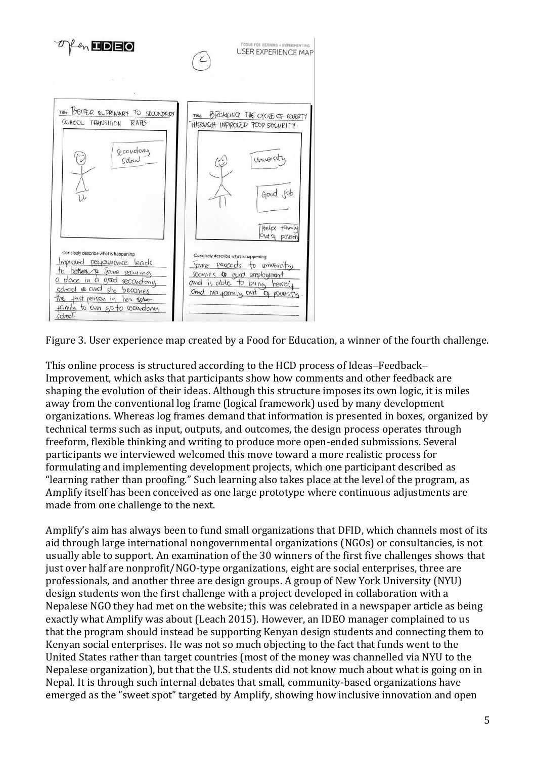

Figure 3. User experience map created by a Food for Education, a winner of the fourth challenge.

This online process is structured according to the HCD process of Ideas–Feedback– Improvement, which asks that participants show how comments and other feedback are shaping the evolution of their ideas. Although this structure imposes its own logic, it is miles away from the conventional log frame (logical framework) used by many development organizations. Whereas log frames demand that information is presented in boxes, organized by technical terms such as input, outputs, and outcomes, the design process operates through freeform, flexible thinking and writing to produce more open-ended submissions. Several participants we interviewed welcomed this move toward a more realistic process for formulating and implementing development projects, which one participant described as "learning rather than proofing." Such learning also takes place at the level of the program, as Amplify itself has been conceived as one large prototype where continuous adjustments are made from one challenge to the next.

Amplify's aim has always been to fund small organizations that DFID, which channels most of its aid through large international nongovernmental organizations (NGOs) or consultancies, is not usually able to support. An examination of the 30 winners of the first five challenges shows that just over half are nonprofit/NGO-type organizations, eight are social enterprises, three are professionals, and another three are design groups. A group of New York University (NYU) design students won the first challenge with a project developed in collaboration with a Nepalese NGO they had met on the website; this was celebrated in a newspaper article as being exactly what Amplify was about (Leach 2015). However, an IDEO manager complained to us that the program should instead be supporting Kenyan design students and connecting them to Kenyan social enterprises. He was not so much objecting to the fact that funds went to the United States rather than target countries (most of the money was channelled via NYU to the Nepalese organization), but that the U.S. students did not know much about what is going on in Nepal. It is through such internal debates that small, community-based organizations have emerged as the "sweet spot" targeted by Amplify, showing how inclusive innovation and open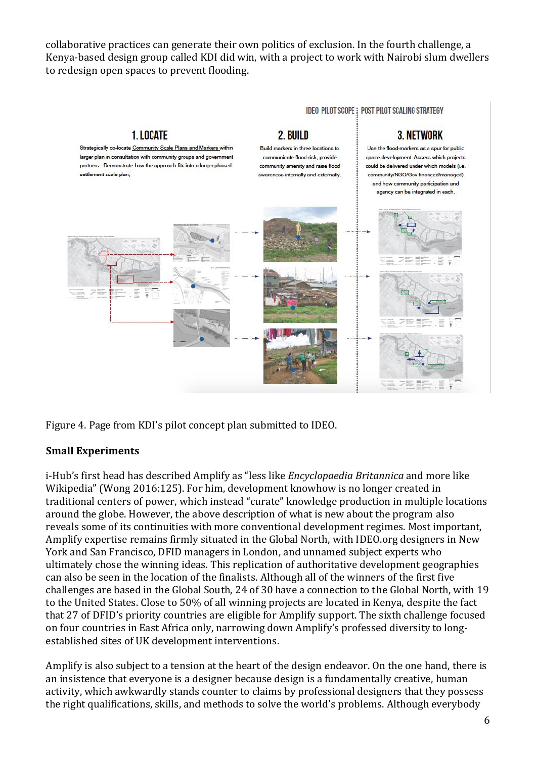collaborative practices can generate their own politics of exclusion. In the fourth challenge, a Kenya-based design group called KDI did win, with a project to work with Nairobi slum dwellers to redesign open spaces to prevent flooding.



Figure 4. Page from KDI's pilot concept plan submitted to IDEO.

## **Small Experiments**

i-Hub's first head has described Amplify as "less like *Encyclopaedia Britannica* and more like Wikipedia" (Wong 2016:125). For him, development knowhow is no longer created in traditional centers of power, which instead "curate" knowledge production in multiple locations around the globe. However, the above description of what is new about the program also reveals some of its continuities with more conventional development regimes. Most important, Amplify expertise remains firmly situated in the Global North, with IDEO.org designers in New York and San Francisco, DFID managers in London, and unnamed subject experts who ultimately chose the winning ideas. This replication of authoritative development geographies can also be seen in the location of the finalists. Although all of the winners of the first five challenges are based in the Global South, 24 of 30 have a connection to the Global North, with 19 to the United States. Close to 50% of all winning projects are located in Kenya, despite the fact that 27 of DFID's priority countries are eligible for Amplify support. The sixth challenge focused on four countries in East Africa only, narrowing down Amplify's professed diversity to longestablished sites of UK development interventions.

Amplify is also subject to a tension at the heart of the design endeavor. On the one hand, there is an insistence that everyone is a designer because design is a fundamentally creative, human activity, which awkwardly stands counter to claims by professional designers that they possess the right qualifications, skills, and methods to solve the world's problems. Although everybody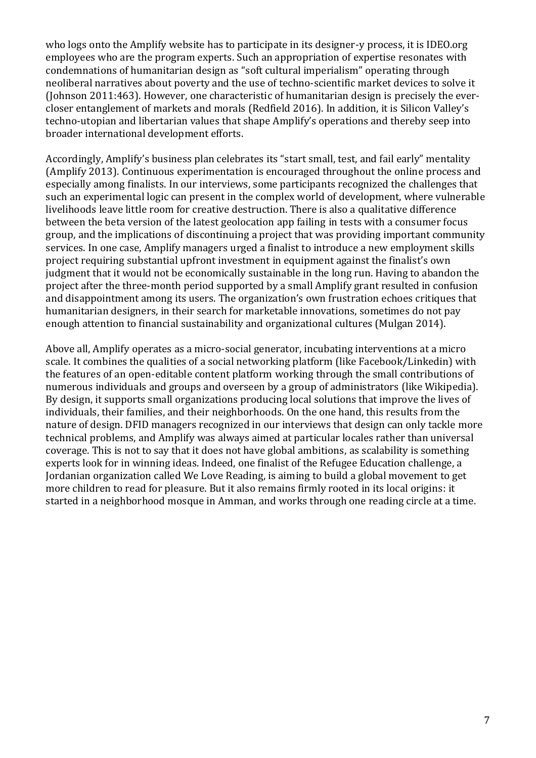who logs onto the Amplify website has to participate in its designer-y process, it is IDEO.org employees who are the program experts. Such an appropriation of expertise resonates with condemnations of humanitarian design as "soft cultural imperialism" operating through neoliberal narratives about poverty and the use of techno-scientific market devices to solve it (Johnson 2011:463). However, one characteristic of humanitarian design is precisely the evercloser entanglement of markets and morals (Redfield 2016). In addition, it is Silicon Valley's techno-utopian and libertarian values that shape Amplify's operations and thereby seep into broader international development efforts.

Accordingly, Amplify's business plan celebrates its "start small, test, and fail early" mentality (Amplify 2013). Continuous experimentation is encouraged throughout the online process and especially among finalists. In our interviews, some participants recognized the challenges that such an experimental logic can present in the complex world of development, where vulnerable livelihoods leave little room for creative destruction. There is also a qualitative difference between the beta version of the latest geolocation app failing in tests with a consumer focus group, and the implications of discontinuing a project that was providing important community services. In one case, Amplify managers urged a finalist to introduce a new employment skills project requiring substantial upfront investment in equipment against the finalist's own judgment that it would not be economically sustainable in the long run. Having to abandon the project after the three-month period supported by a small Amplify grant resulted in confusion and disappointment among its users. The organization's own frustration echoes critiques that humanitarian designers, in their search for marketable innovations, sometimes do not pay enough attention to financial sustainability and organizational cultures (Mulgan 2014).

Above all, Amplify operates as a micro-social generator, incubating interventions at a micro scale. It combines the qualities of a social networking platform (like Facebook/Linkedin) with the features of an open-editable content platform working through the small contributions of numerous individuals and groups and overseen by a group of administrators (like Wikipedia). By design, it supports small organizations producing local solutions that improve the lives of individuals, their families, and their neighborhoods. On the one hand, this results from the nature of design. DFID managers recognized in our interviews that design can only tackle more technical problems, and Amplify was always aimed at particular locales rather than universal coverage. This is not to say that it does not have global ambitions, as scalability is something experts look for in winning ideas. Indeed, one finalist of the Refugee Education challenge, a Jordanian organization called We Love Reading, is aiming to build a global movement to get more children to read for pleasure. But it also remains firmly rooted in its local origins: it started in a neighborhood mosque in Amman, and works through one reading circle at a time.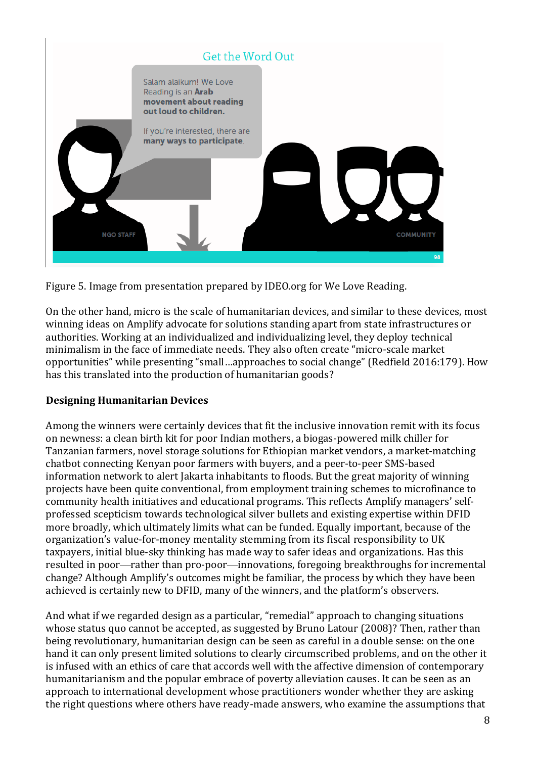

Figure 5. Image from presentation prepared by IDEO.org for We Love Reading.

On the other hand, micro is the scale of humanitarian devices, and similar to these devices, most winning ideas on Amplify advocate for solutions standing apart from state infrastructures or authorities. Working at an individualized and individualizing level, they deploy technical minimalism in the face of immediate needs. They also often create "micro-scale market opportunities" while presenting "small…approaches to social change" (Redfield 2016:179). How has this translated into the production of humanitarian goods?

## **Designing Humanitarian Devices**

Among the winners were certainly devices that fit the inclusive innovation remit with its focus on newness: a clean birth kit for poor Indian mothers, a biogas-powered milk chiller for Tanzanian farmers, novel storage solutions for Ethiopian market vendors, a market-matching chatbot connecting Kenyan poor farmers with buyers, and a peer-to-peer SMS-based information network to alert Jakarta inhabitants to floods. But the great majority of winning projects have been quite conventional, from employment training schemes to microfinance to community health initiatives and educational programs. This reflects Amplify managers' selfprofessed scepticism towards technological silver bullets and existing expertise within DFID more broadly, which ultimately limits what can be funded. Equally important, because of the organization's value-for-money mentality stemming from its fiscal responsibility to UK taxpayers, initial blue-sky thinking has made way to safer ideas and organizations. Has this resulted in poor—rather than pro-poor—innovations, foregoing breakthroughs for incremental change? Although Amplify's outcomes might be familiar, the process by which they have been achieved is certainly new to DFID, many of the winners, and the platform's observers.

And what if we regarded design as a particular, "remedial" approach to changing situations whose status quo cannot be accepted, as suggested by Bruno Latour (2008)? Then, rather than being revolutionary, humanitarian design can be seen as careful in a double sense: on the one hand it can only present limited solutions to clearly circumscribed problems, and on the other it is infused with an ethics of care that accords well with the affective dimension of contemporary humanitarianism and the popular embrace of poverty alleviation causes. It can be seen as an approach to international development whose practitioners wonder whether they are asking the right questions where others have ready-made answers, who examine the assumptions that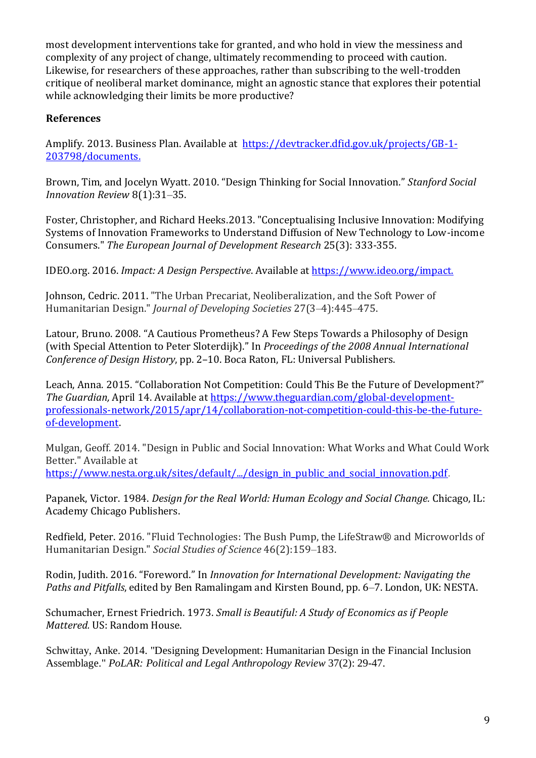most development interventions take for granted, and who hold in view the messiness and complexity of any project of change, ultimately recommending to proceed with caution. Likewise, for researchers of these approaches, rather than subscribing to the well-trodden critique of neoliberal market dominance, might an agnostic stance that explores their potential while acknowledging their limits be more productive?

## **References**

Amplify. 2013. Business Plan. Available at [https://devtracker.dfid.gov.uk/projects/GB-1-](https://devtracker.dfid.gov.uk/projects/GB-1-203798/documents) [203798/documents.](https://devtracker.dfid.gov.uk/projects/GB-1-203798/documents)

Brown, Tim, and Jocelyn Wyatt. 2010. "Design Thinking for Social Innovation." *Stanford Social Innovation Review* 8(1):31–35.

Foster, Christopher, and Richard Heeks.2013. "Conceptualising Inclusive Innovation: Modifying Systems of Innovation Frameworks to Understand Diffusion of New Technology to Low-income Consumers." *The European Journal of Development Research* 25(3): 333-355.

IDEO.org. 2016. *Impact: A Design Perspective*. Available at [https://www.ideo.org/impact.](https://www.ideo.org/impact)

Johnson, Cedric. 2011. "The Urban Precariat, Neoliberalization, and the Soft Power of Humanitarian Design." *Journal of Developing Societies* 27(3–4):445–475.

Latour, Bruno. 2008. "A Cautious Prometheus? A Few Steps Towards a Philosophy of Design (with Special Attention to Peter Sloterdijk)." In *Proceedings of the 2008 Annual International Conference of Design History*, pp. 2–10. Boca Raton, FL: Universal Publishers.

Leach, Anna. 2015. "Collaboration Not Competition: Could This Be the Future of Development?" *The Guardian,* April 14. Available at [https://www.theguardian.com/global-development](https://www.theguardian.com/global-development-professionals-network/2015/apr/14/collaboration-not-competition-could-this-be-the-future-of-development)[professionals-network/2015/apr/14/collaboration-not-competition-could-this-be-the-future](https://www.theguardian.com/global-development-professionals-network/2015/apr/14/collaboration-not-competition-could-this-be-the-future-of-development)[of-development.](https://www.theguardian.com/global-development-professionals-network/2015/apr/14/collaboration-not-competition-could-this-be-the-future-of-development)

Mulgan, Geoff. 2014. "Design in Public and Social Innovation: What Works and What Could Work Better." Available at [https://www.nesta.org.uk/sites/default/.../design\\_in\\_public\\_and\\_social\\_innovation.pdf.](https://www.nesta.org.uk/sites/default/.../design_in_public_and_social_innovation.pdf)

Papanek, Victor. 1984. *Design for the Real World: Human Ecology and Social Change.* Chicago, IL: Academy Chicago Publishers.

Redfield, Peter. 2016. "Fluid Technologies: The Bush Pump, the LifeStraw® and Microworlds of Humanitarian Design." *Social Studies of Science* 46(2):159–183.

Rodin, Judith. 2016. "Foreword." In *Innovation for International Development: Navigating the Paths and Pitfalls*, edited by Ben Ramalingam and Kirsten Bound, pp. 6–7. London, UK: NESTA.

Schumacher, Ernest Friedrich. 1973. *Small is Beautiful: A Study of Economics as if People Mattered.* US: Random House.

Schwittay, Anke. 2014. "Designing Development: Humanitarian Design in the Financial Inclusion Assemblage." *PoLAR: Political and Legal Anthropology Review* 37(2): 29-47.